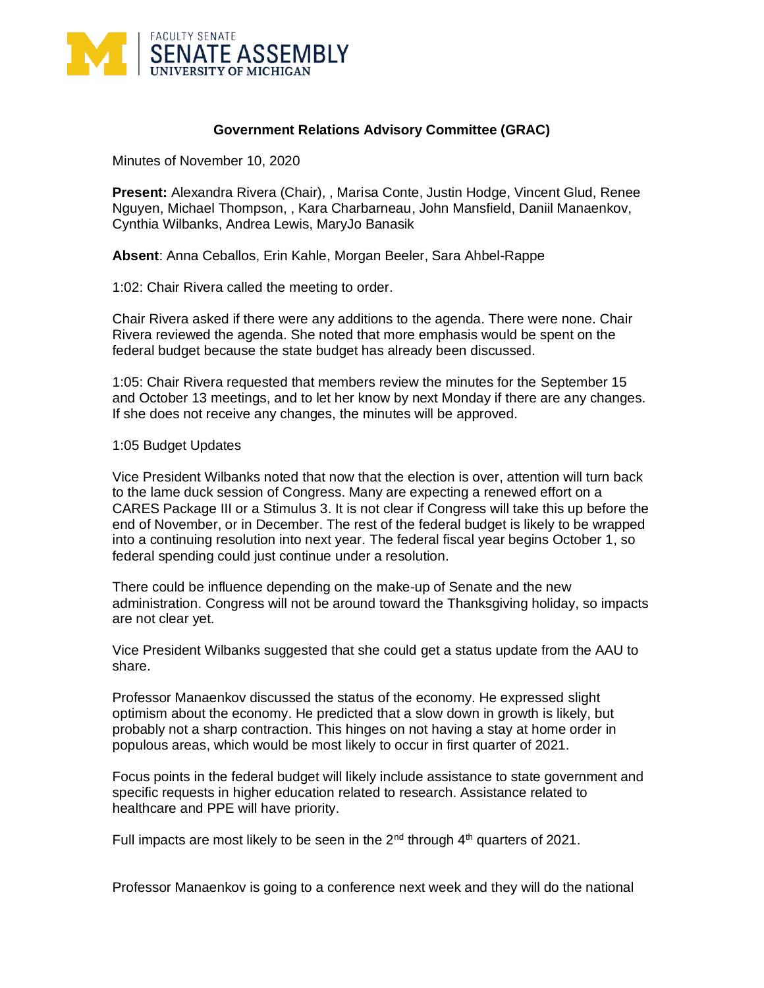

## **Government Relations Advisory Committee (GRAC)**

Minutes of November 10, 2020

**Present:** Alexandra Rivera (Chair), , Marisa Conte, Justin Hodge, Vincent Glud, Renee Nguyen, Michael Thompson, , Kara Charbarneau, John Mansfield, Daniil Manaenkov, Cynthia Wilbanks, Andrea Lewis, MaryJo Banasik

**Absent**: Anna Ceballos, Erin Kahle, Morgan Beeler, Sara Ahbel-Rappe

1:02: Chair Rivera called the meeting to order.

Chair Rivera asked if there were any additions to the agenda. There were none. Chair Rivera reviewed the agenda. She noted that more emphasis would be spent on the federal budget because the state budget has already been discussed.

1:05: Chair Rivera requested that members review the minutes for the September 15 and October 13 meetings, and to let her know by next Monday if there are any changes. If she does not receive any changes, the minutes will be approved.

1:05 Budget Updates

Vice President Wilbanks noted that now that the election is over, attention will turn back to the lame duck session of Congress. Many are expecting a renewed effort on a CARES Package III or a Stimulus 3. It is not clear if Congress will take this up before the end of November, or in December. The rest of the federal budget is likely to be wrapped into a continuing resolution into next year. The federal fiscal year begins October 1, so federal spending could just continue under a resolution.

There could be influence depending on the make-up of Senate and the new administration. Congress will not be around toward the Thanksgiving holiday, so impacts are not clear yet.

Vice President Wilbanks suggested that she could get a status update from the AAU to share.

Professor Manaenkov discussed the status of the economy. He expressed slight optimism about the economy. He predicted that a slow down in growth is likely, but probably not a sharp contraction. This hinges on not having a stay at home order in populous areas, which would be most likely to occur in first quarter of 2021.

Focus points in the federal budget will likely include assistance to state government and specific requests in higher education related to research. Assistance related to healthcare and PPE will have priority.

Full impacts are most likely to be seen in the  $2<sup>nd</sup>$  through  $4<sup>th</sup>$  quarters of 2021.

Professor Manaenkov is going to a conference next week and they will do the national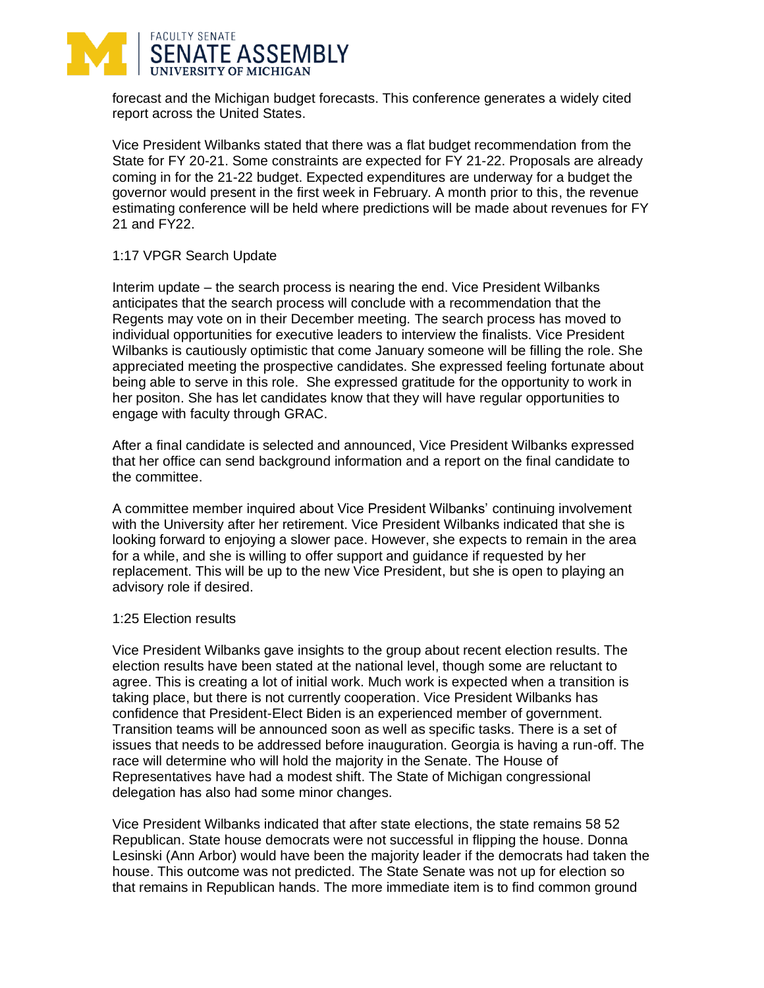

forecast and the Michigan budget forecasts. This conference generates a widely cited report across the United States.

Vice President Wilbanks stated that there was a flat budget recommendation from the State for FY 20-21. Some constraints are expected for FY 21-22. Proposals are already coming in for the 21-22 budget. Expected expenditures are underway for a budget the governor would present in the first week in February. A month prior to this, the revenue estimating conference will be held where predictions will be made about revenues for FY 21 and FY22.

## 1:17 VPGR Search Update

Interim update – the search process is nearing the end. Vice President Wilbanks anticipates that the search process will conclude with a recommendation that the Regents may vote on in their December meeting. The search process has moved to individual opportunities for executive leaders to interview the finalists. Vice President Wilbanks is cautiously optimistic that come January someone will be filling the role. She appreciated meeting the prospective candidates. She expressed feeling fortunate about being able to serve in this role. She expressed gratitude for the opportunity to work in her positon. She has let candidates know that they will have regular opportunities to engage with faculty through GRAC.

After a final candidate is selected and announced, Vice President Wilbanks expressed that her office can send background information and a report on the final candidate to the committee.

A committee member inquired about Vice President Wilbanks' continuing involvement with the University after her retirement. Vice President Wilbanks indicated that she is looking forward to enjoying a slower pace. However, she expects to remain in the area for a while, and she is willing to offer support and guidance if requested by her replacement. This will be up to the new Vice President, but she is open to playing an advisory role if desired.

## 1:25 Election results

Vice President Wilbanks gave insights to the group about recent election results. The election results have been stated at the national level, though some are reluctant to agree. This is creating a lot of initial work. Much work is expected when a transition is taking place, but there is not currently cooperation. Vice President Wilbanks has confidence that President-Elect Biden is an experienced member of government. Transition teams will be announced soon as well as specific tasks. There is a set of issues that needs to be addressed before inauguration. Georgia is having a run-off. The race will determine who will hold the majority in the Senate. The House of Representatives have had a modest shift. The State of Michigan congressional delegation has also had some minor changes.

Vice President Wilbanks indicated that after state elections, the state remains 58 52 Republican. State house democrats were not successful in flipping the house. Donna Lesinski (Ann Arbor) would have been the majority leader if the democrats had taken the house. This outcome was not predicted. The State Senate was not up for election so that remains in Republican hands. The more immediate item is to find common ground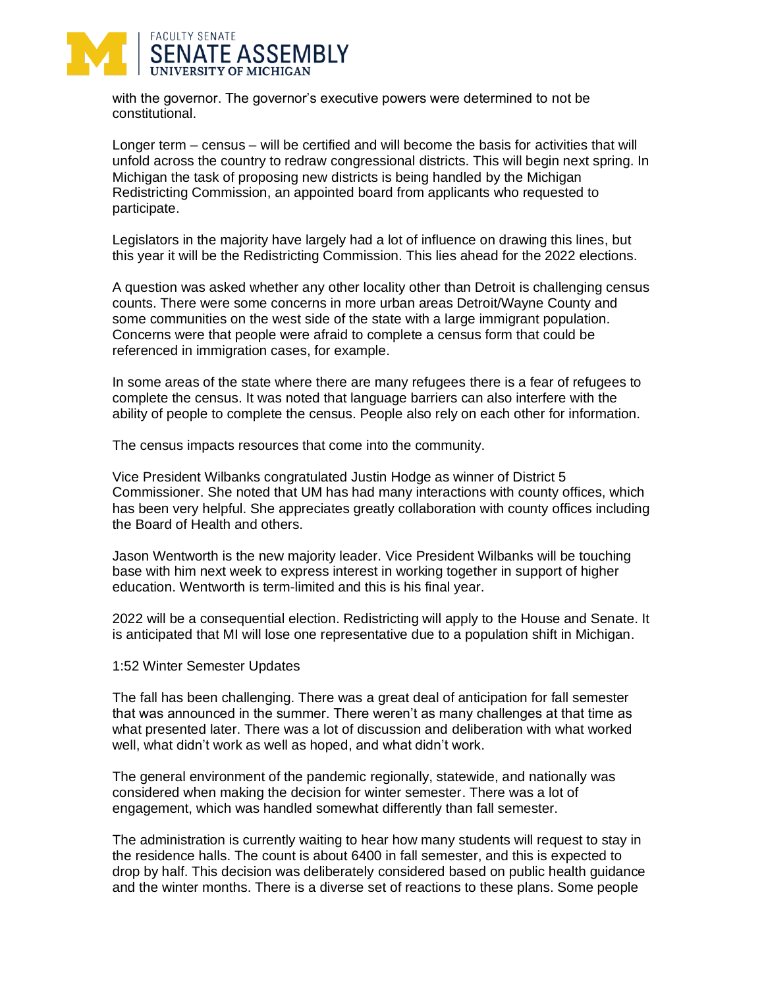

with the governor. The governor's executive powers were determined to not be constitutional.

Longer term – census – will be certified and will become the basis for activities that will unfold across the country to redraw congressional districts. This will begin next spring. In Michigan the task of proposing new districts is being handled by the Michigan Redistricting Commission, an appointed board from applicants who requested to participate.

Legislators in the majority have largely had a lot of influence on drawing this lines, but this year it will be the Redistricting Commission. This lies ahead for the 2022 elections.

A question was asked whether any other locality other than Detroit is challenging census counts. There were some concerns in more urban areas Detroit/Wayne County and some communities on the west side of the state with a large immigrant population. Concerns were that people were afraid to complete a census form that could be referenced in immigration cases, for example.

In some areas of the state where there are many refugees there is a fear of refugees to complete the census. It was noted that language barriers can also interfere with the ability of people to complete the census. People also rely on each other for information.

The census impacts resources that come into the community.

Vice President Wilbanks congratulated Justin Hodge as winner of District 5 Commissioner. She noted that UM has had many interactions with county offices, which has been very helpful. She appreciates greatly collaboration with county offices including the Board of Health and others.

Jason Wentworth is the new majority leader. Vice President Wilbanks will be touching base with him next week to express interest in working together in support of higher education. Wentworth is term-limited and this is his final year.

2022 will be a consequential election. Redistricting will apply to the House and Senate. It is anticipated that MI will lose one representative due to a population shift in Michigan.

1:52 Winter Semester Updates

The fall has been challenging. There was a great deal of anticipation for fall semester that was announced in the summer. There weren't as many challenges at that time as what presented later. There was a lot of discussion and deliberation with what worked well, what didn't work as well as hoped, and what didn't work.

The general environment of the pandemic regionally, statewide, and nationally was considered when making the decision for winter semester. There was a lot of engagement, which was handled somewhat differently than fall semester.

The administration is currently waiting to hear how many students will request to stay in the residence halls. The count is about 6400 in fall semester, and this is expected to drop by half. This decision was deliberately considered based on public health guidance and the winter months. There is a diverse set of reactions to these plans. Some people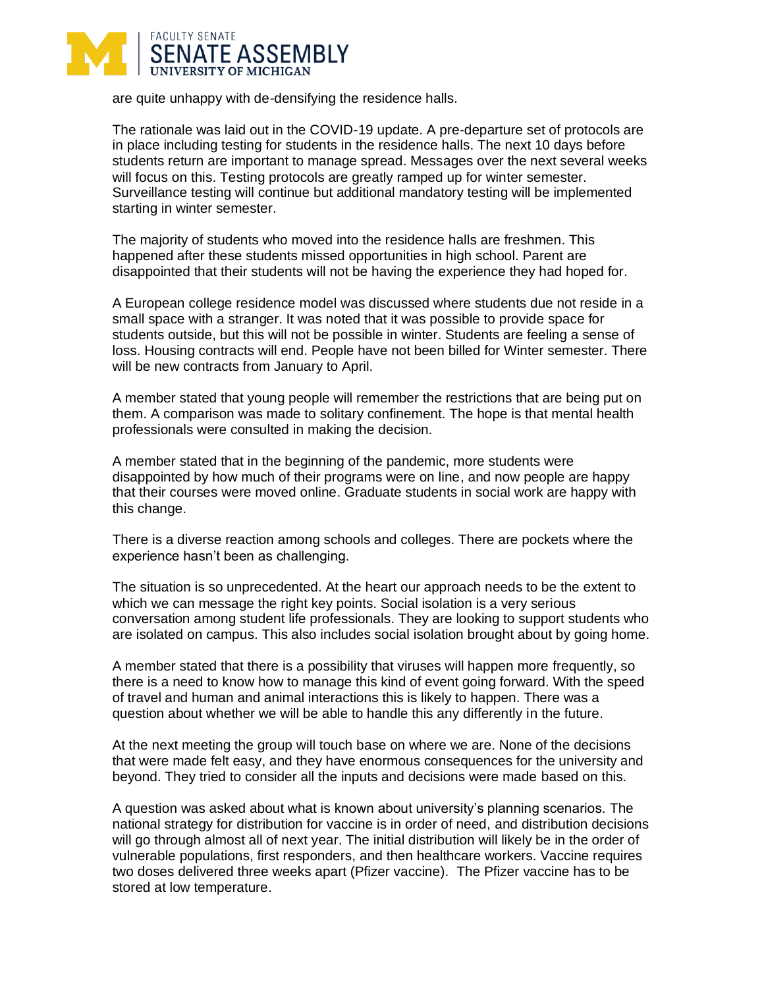

are quite unhappy with de-densifying the residence halls.

The rationale was laid out in the COVID-19 update. A pre-departure set of protocols are in place including testing for students in the residence halls. The next 10 days before students return are important to manage spread. Messages over the next several weeks will focus on this. Testing protocols are greatly ramped up for winter semester. Surveillance testing will continue but additional mandatory testing will be implemented starting in winter semester.

The majority of students who moved into the residence halls are freshmen. This happened after these students missed opportunities in high school. Parent are disappointed that their students will not be having the experience they had hoped for.

A European college residence model was discussed where students due not reside in a small space with a stranger. It was noted that it was possible to provide space for students outside, but this will not be possible in winter. Students are feeling a sense of loss. Housing contracts will end. People have not been billed for Winter semester. There will be new contracts from January to April.

A member stated that young people will remember the restrictions that are being put on them. A comparison was made to solitary confinement. The hope is that mental health professionals were consulted in making the decision.

A member stated that in the beginning of the pandemic, more students were disappointed by how much of their programs were on line, and now people are happy that their courses were moved online. Graduate students in social work are happy with this change.

There is a diverse reaction among schools and colleges. There are pockets where the experience hasn't been as challenging.

The situation is so unprecedented. At the heart our approach needs to be the extent to which we can message the right key points. Social isolation is a very serious conversation among student life professionals. They are looking to support students who are isolated on campus. This also includes social isolation brought about by going home.

A member stated that there is a possibility that viruses will happen more frequently, so there is a need to know how to manage this kind of event going forward. With the speed of travel and human and animal interactions this is likely to happen. There was a question about whether we will be able to handle this any differently in the future.

At the next meeting the group will touch base on where we are. None of the decisions that were made felt easy, and they have enormous consequences for the university and beyond. They tried to consider all the inputs and decisions were made based on this.

A question was asked about what is known about university's planning scenarios. The national strategy for distribution for vaccine is in order of need, and distribution decisions will go through almost all of next year. The initial distribution will likely be in the order of vulnerable populations, first responders, and then healthcare workers. Vaccine requires two doses delivered three weeks apart (Pfizer vaccine). The Pfizer vaccine has to be stored at low temperature.